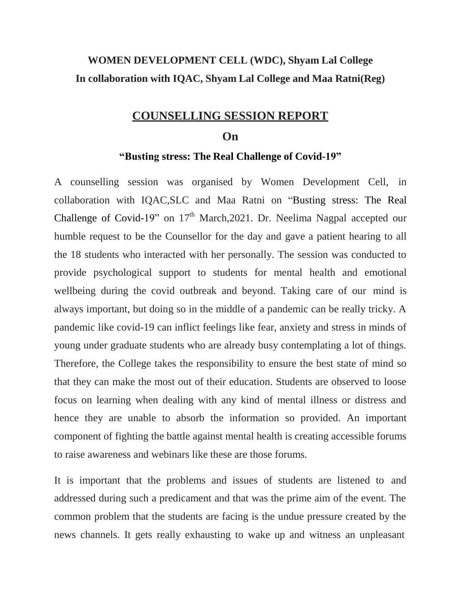### **WOMEN DEVELOPMENT CELL (WDC), Shyam Lal College In collaboration with IQAC, Shyam Lal College and Maa Ratni(Reg)**

### **COUNSELLING SESSION REPORT**

#### **On**

#### **"Busting stress: The Real Challenge of Covid-19"**

A counselling session was organised by Women Development Cell, in collaboration with IQAC,SLC and Maa Ratni on "Busting stress: The Real Challenge of Covid-19" on  $17<sup>th</sup>$  March, 2021. Dr. Neelima Nagpal accepted our humble request to be the Counsellor for the day and gave a patient hearing to all the 18 students who interacted with her personally. The session was conducted to provide psychological support to students for mental health and emotional wellbeing during the covid outbreak and beyond. Taking care of our mind is always important, but doing so in the middle of a pandemic can be really tricky. A pandemic like covid-19 can inflict feelings like fear, anxiety and stress in minds of young under graduate students who are already busy contemplating a lot of things. Therefore, the College takes the responsibility to ensure the best state of mind so that they can make the most out of their education. Students are observed to loose focus on learning when dealing with any kind of mental illness or distress and hence they are unable to absorb the information so provided. An important component of fighting the battle against mental health is creating accessible forums to raise awareness and webinars like these are those forums.

It is important that the problems and issues of students are listened to and addressed during such a predicament and that was the prime aim of the event. The common problem that the students are facing is the undue pressure created by the news channels. It gets really exhausting to wake up and witness an unpleasant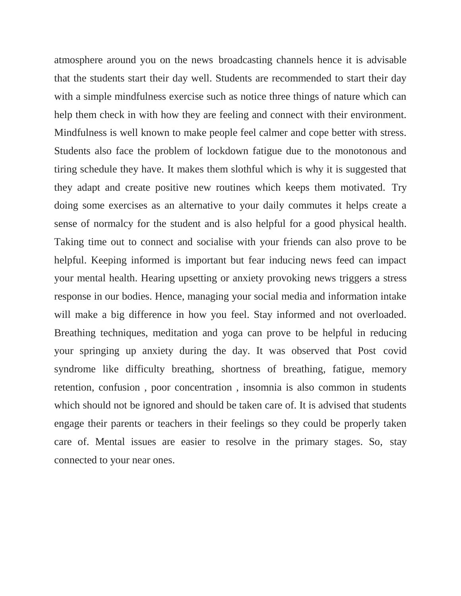atmosphere around you on the news broadcasting channels hence it is advisable that the students start their day well. Students are recommended to start their day with a simple mindfulness exercise such as notice three things of nature which can help them check in with how they are feeling and connect with their environment. Mindfulness is well known to make people feel calmer and cope better with stress. Students also face the problem of lockdown fatigue due to the monotonous and tiring schedule they have. It makes them slothful which is why it is suggested that they adapt and create positive new routines which keeps them motivated. Try doing some exercises as an alternative to your daily commutes it helps create a sense of normalcy for the student and is also helpful for a good physical health. Taking time out to connect and socialise with your friends can also prove to be helpful. Keeping informed is important but fear inducing news feed can impact your mental health. Hearing upsetting or anxiety provoking news triggers a stress response in our bodies. Hence, managing your social media and information intake will make a big difference in how you feel. Stay informed and not overloaded. Breathing techniques, meditation and yoga can prove to be helpful in reducing your springing up anxiety during the day. It was observed that Post covid syndrome like difficulty breathing, shortness of breathing, fatigue, memory retention, confusion , poor concentration , insomnia is also common in students which should not be ignored and should be taken care of. It is advised that students engage their parents or teachers in their feelings so they could be properly taken care of. Mental issues are easier to resolve in the primary stages. So, stay connected to your near ones.